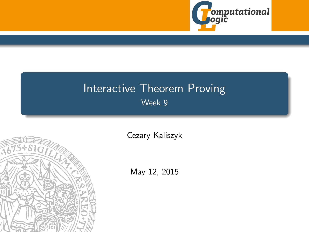

# <span id="page-0-0"></span>Interactive Theorem Proving Week 9



[Cezary Kaliszyk](http://cl-informatik.uibk.ac.at/~cek)

May 12, 2015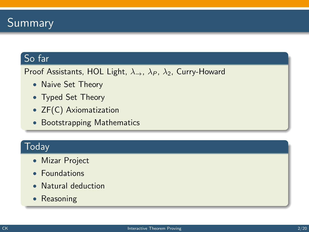

### So far

Proof Assistants, HOL Light,  $\lambda_{\rightarrow}$ ,  $\lambda_{P}$ ,  $\lambda_{2}$ , Curry-Howard

- Naive Set Theory
- Typed Set Theory
- ZF(C) Axiomatization
- Bootstrapping Mathematics

### **Today**

- Mizar Project
- Foundations
- Natural deduction
- Reasoning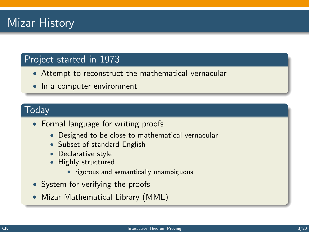# Mizar History

### Project started in 1973

- Attempt to reconstruct the mathematical vernacular
- In a computer environment

### Today

- Formal language for writing proofs
	- Designed to be close to mathematical vernacular
	- Subset of standard English
	- Declarative style
	- Highly structured
		- rigorous and semantically unambiguous
- System for verifying the proofs
- Mizar Mathematical Library (MML)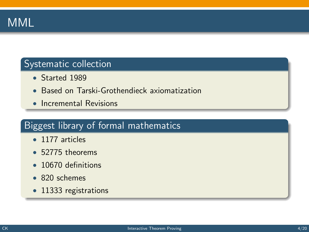

### Systematic collection

- Started 1989
- Based on Tarski-Grothendieck axiomatization
- Incremental Revisions

### Biggest library of formal mathematics

- 1177 articles
- 52775 theorems
- 10670 definitions
- 820 schemes
- 11333 registrations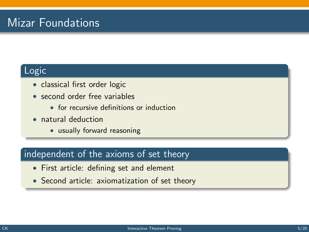# Mizar Foundations

### Logic

- classical first order logic
- second order free variables
	- for recursive definitions or induction
- natural deduction
	- usually forward reasoning

### independent of the axioms of set theory

- First article: defining set and element
- Second article: axiomatization of set theory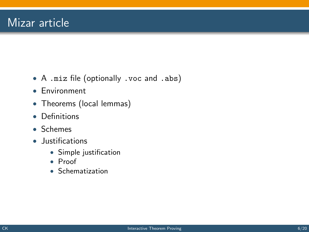- A .miz file (optionally .voc and .abs)
- Environment
- Theorems (local lemmas)
- Definitions
- Schemes
- Justifications
	- Simple justification
	- Proof
	- Schematization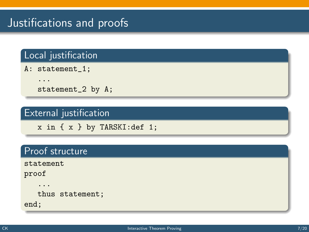# Justifications and proofs

### Local justification

A: statement\_1;

...

statement\_2 by A;

### External justification

x in { x } by TARSKI:def 1;

### Proof structure

statement

proof

...

thus statement;

end;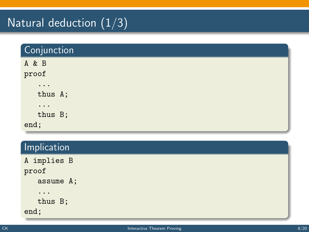# Natural deduction  $(1/3)$

| Conjunction |  |
|-------------|--|
| A & B       |  |
| proof       |  |
| $\cdots$    |  |
| thus A;     |  |
| $\cdots$    |  |
| thus B;     |  |
| end;        |  |

### **Implication**

| A implies B |
|-------------|
| proof       |
| assume A;   |
| .           |
| thus B;     |
| end;        |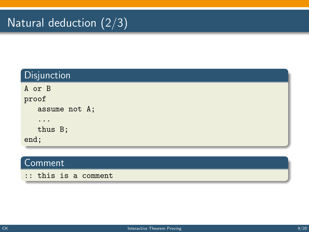# Natural deduction  $\overline{(2/3)}$

| Disjunction            |
|------------------------|
| A or B                 |
| proof                  |
| assume not A;          |
| $\ddot{\phantom{0}}$ . |
| thus B;                |
| end;                   |

### Comment

:: this is a comment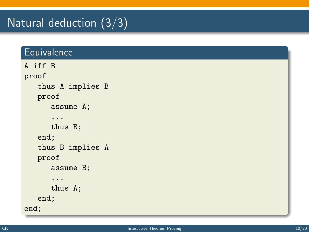# Natural deduction (3/3)

### **Equivalence**

```
A iff B
proof
   thus A implies B
   proof
      assume A;
      ...
      thus B;
   end;
   thus B implies A
   proof
      assume B;
      ...
      thus A;
   end;
end;
```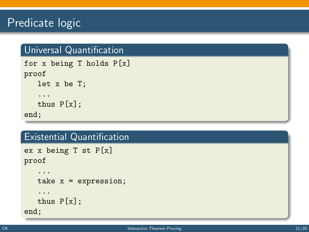## Predicate logic

### Universal Quantification

```
for x being T holds P[x]
proof
   let x be T;
   ...
   thus P[x];
end;
```
### Existential Quantification

```
ex x being T st P[x]
proof
```

```
...
   take x = expression;
   ...
   thus P[x];
end;
```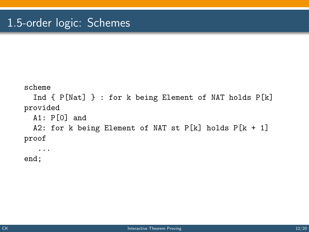```
scheme
  Ind { P[Nat] } : for k being Element of NAT holds P[k]
provided
  A1: P[0] and
  A2: for k being Element of NAT st P[k] holds P[k + 1]proof
   ...
```
end;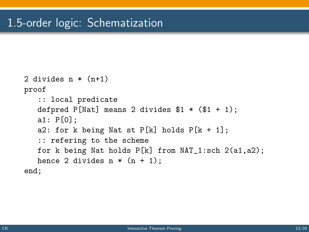```
2 divides n * (n+1)proof
   :: local predicate
   defpred P[Nat] means 2 divides $1 * ($1 + 1);a1: P[0];
   a2: for k being Nat st P[k] holds P[k + 1];
   :: refering to the scheme
   for k being Nat holds P[k] from NAT_1:sch 2(a1,a2);
   hence 2 divides n * (n + 1);
end;
```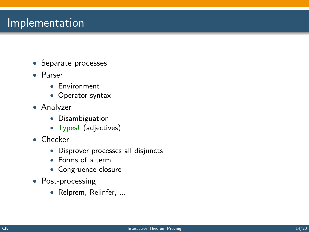### **Implementation**

- Separate processes
- Parser
	- Environment
	- Operator syntax
- Analyzer
	- Disambiguation
	- Types! (adjectives)
- Checker
	- Disprover processes all disjuncts
	- Forms of a term
	- Congruence closure
- Post-processing
	- Relprem, Relinfer, ...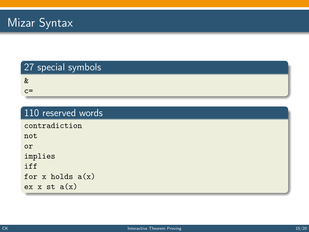### 27 special symbols

&

 $c =$ 

#### 110 reserved words

contradiction

not or

implies

iff

for x holds  $a(x)$ 

ex  $x$  st  $a(x)$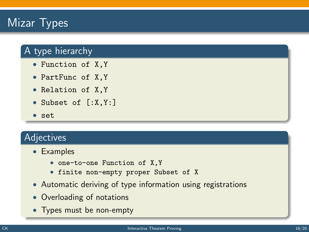# Mizar Typ<u>es</u>

### A type hierarchy

- Function of X,Y
- PartFunc of X,Y
- Relation of X,Y
- Subset of [:X,Y:]
- set

### Adjectives

- Examples
	- one-to-one Function of X,Y
	- finite non-empty proper Subset of X
- Automatic deriving of type information using registrations
- Overloading of notations
- Types must be non-empty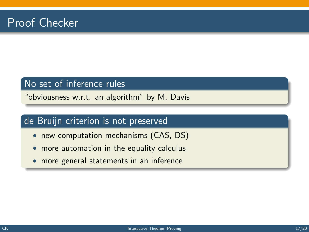### No set of inference rules

"obviousness w.r.t. an algorithm" by M. Davis

### de Bruijn criterion is not preserved

- new computation mechanisms (CAS, DS)
- more automation in the equality calculus
- more general statements in an inference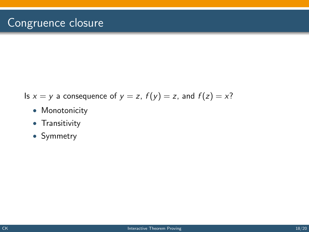- Is  $x = y$  a consequence of  $y = z$ ,  $f(y) = z$ , and  $f(z) = x$ ?
	- Monotonicity
	- Transitivity
	- Symmetry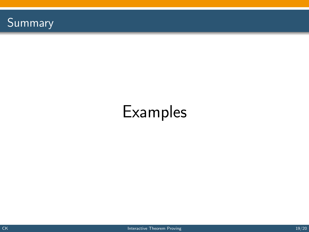

# Examples